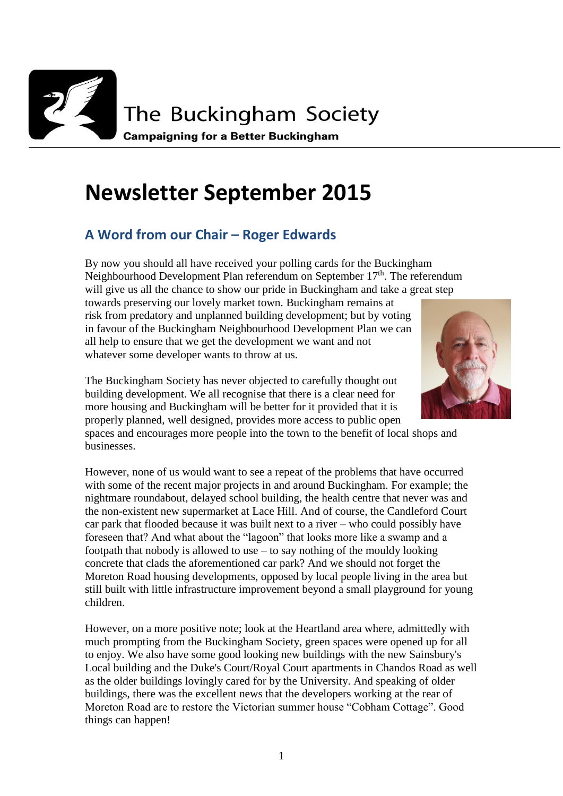

# **Newsletter September 2015**

## **A Word from our Chair – Roger Edwards**

By now you should all have received your polling cards for the Buckingham Neighbourhood Development Plan referendum on September 17<sup>th</sup>. The referendum will give us all the chance to show our pride in Buckingham and take a great step towards preserving our lovely market town. Buckingham remains at risk from predatory and unplanned building development; but by voting in favour of the Buckingham Neighbourhood Development Plan we can all help to ensure that we get the development we want and not whatever some developer wants to throw at us.



The Buckingham Society has never objected to carefully thought out building development. We all recognise that there is a clear need for more housing and Buckingham will be better for it provided that it is properly planned, well designed, provides more access to public open

spaces and encourages more people into the town to the benefit of local shops and businesses.

However, none of us would want to see a repeat of the problems that have occurred with some of the recent major projects in and around Buckingham. For example; the nightmare roundabout, delayed school building, the health centre that never was and the non-existent new supermarket at Lace Hill. And of course, the Candleford Court car park that flooded because it was built next to a river – who could possibly have foreseen that? And what about the "lagoon" that looks more like a swamp and a footpath that nobody is allowed to use – to say nothing of the mouldy looking concrete that clads the aforementioned car park? And we should not forget the Moreton Road housing developments, opposed by local people living in the area but still built with little infrastructure improvement beyond a small playground for young children.

However, on a more positive note; look at the Heartland area where, admittedly with much prompting from the Buckingham Society, green spaces were opened up for all to enjoy. We also have some good looking new buildings with the new Sainsbury's Local building and the Duke's Court/Royal Court apartments in Chandos Road as well as the older buildings lovingly cared for by the University. And speaking of older buildings, there was the excellent news that the developers working at the rear of Moreton Road are to restore the Victorian summer house "Cobham Cottage". Good things can happen!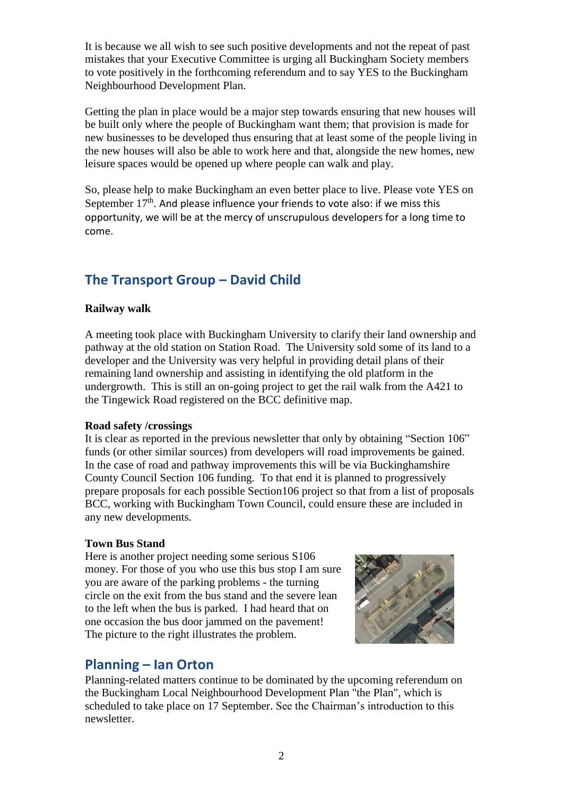It is because we all wish to see such positive developments and not the repeat of past mistakes that your Executive Committee is urging all Buckingham Society members to vote positively in the forthcoming referendum and to say YES to the Buckingham Neighbourhood Development Plan.

Getting the plan in place would be a major step towards ensuring that new houses will be built only where the people of Buckingham want them; that provision is made for new businesses to be developed thus ensuring that at least some of the people living in the new houses will also be able to work here and that, alongside the new homes, new leisure spaces would be opened up where people can walk and play.

So, please help to make Buckingham an even better place to live. Please vote YES on September  $17<sup>th</sup>$ . And please influence your friends to vote also: if we miss this opportunity, we will be at the mercy of unscrupulous developers for a long time to come.

# **The Transport Group – David Child**

#### **Railway walk**

A meeting took place with Buckingham University to clarify their land ownership and pathway at the old station on Station Road. The University sold some of its land to a developer and the University was very helpful in providing detail plans of their remaining land ownership and assisting in identifying the old platform in the undergrowth. This is still an on-going project to get the rail walk from the A421 to the Tingewick Road registered on the BCC definitive map.

#### **Road safety /crossings**

It is clear as reported in the previous newsletter that only by obtaining "Section 106" funds (or other similar sources) from developers will road improvements be gained. In the case of road and pathway improvements this will be via Buckinghamshire County Council Section 106 funding. To that end it is planned to progressively prepare proposals for each possible Section106 project so that from a list of proposals BCC, working with Buckingham Town Council, could ensure these are included in any new developments.

#### **Town Bus Stand**

Here is another project needing some serious S106 money. For those of you who use this bus stop I am sure you are aware of the parking problems - the turning circle on the exit from the bus stand and the severe lean to the left when the bus is parked. I had heard that on one occasion the bus door jammed on the pavement! The picture to the right illustrates the problem.



### **Planning – Ian Orton**

Planning-related matters continue to be dominated by the upcoming referendum on the Buckingham Local Neighbourhood Development Plan "the Plan", which is scheduled to take place on 17 September. See the Chairman's introduction to this newsletter.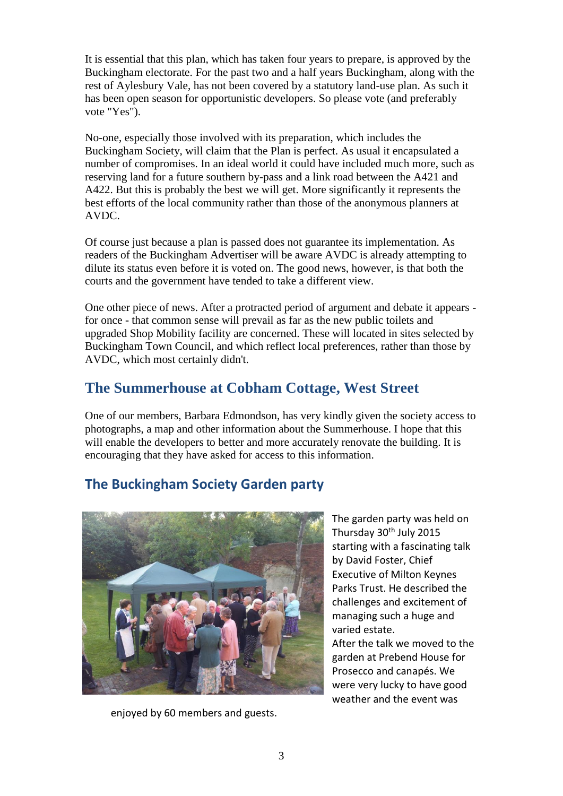It is essential that this plan, which has taken four years to prepare, is approved by the Buckingham electorate. For the past two and a half years Buckingham, along with the rest of Aylesbury Vale, has not been covered by a statutory land-use plan. As such it has been open season for opportunistic developers. So please vote (and preferably vote "Yes").

No-one, especially those involved with its preparation, which includes the Buckingham Society, will claim that the Plan is perfect. As usual it encapsulated a number of compromises. In an ideal world it could have included much more, such as reserving land for a future southern by-pass and a link road between the A421 and A422. But this is probably the best we will get. More significantly it represents the best efforts of the local community rather than those of the anonymous planners at AVDC.

Of course just because a plan is passed does not guarantee its implementation. As readers of the Buckingham Advertiser will be aware AVDC is already attempting to dilute its status even before it is voted on. The good news, however, is that both the courts and the government have tended to take a different view.

One other piece of news. After a protracted period of argument and debate it appears for once - that common sense will prevail as far as the new public toilets and upgraded Shop Mobility facility are concerned. These will located in sites selected by Buckingham Town Council, and which reflect local preferences, rather than those by AVDC, which most certainly didn't.

# **The Summerhouse at Cobham Cottage, West Street**

One of our members, Barbara Edmondson, has very kindly given the society access to photographs, a map and other information about the Summerhouse. I hope that this will enable the developers to better and more accurately renovate the building. It is encouraging that they have asked for access to this information.

# **The Buckingham Society Garden party**



enjoyed by 60 members and guests.

The garden party was held on Thursday 30<sup>th</sup> July 2015 starting with a fascinating talk by David Foster, Chief Executive of Milton Keynes Parks Trust. He described the challenges and excitement of managing such a huge and varied estate. After the talk we moved to the garden at Prebend House for Prosecco and canapés. We were very lucky to have good weather and the event was